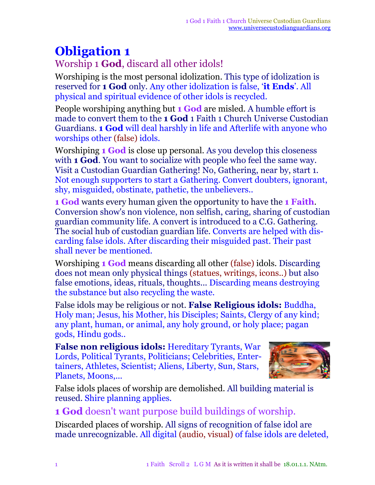## **Obligation 1**

Worship 1 **God**, discard all other idols!

Worshiping is the most personal idolization. This type of idolization is reserved for **1 God** only. Any other idolization is false, '**it Ends**'. All physical and spiritual evidence of other idols is recycled.

People worshiping anything but **1 God** are misled. A humble effort is made to convert them to the **1 God** 1 Faith 1 Church Universe Custodian Guardians. **1 God** will deal harshly in life and Afterlife with anyone who worships other (false) idols.

Worshiping **1 God** is close up personal. As you develop this closeness with **1 God**. You want to socialize with people who feel the same way. Visit a Custodian Guardian Gathering! No, Gathering, near by, start 1. Not enough supporters to start a Gathering. Convert doubters, ignorant, shy, misguided, obstinate, pathetic, the unbelievers..

**1 God** wants every human given the opportunity to have the **1 Faith**. Conversion show's non violence, non selfish, caring, sharing of custodian guardian community life. A convert is introduced to a C.G. Gathering. The social hub of custodian guardian life. Converts are helped with discarding false idols. After discarding their misguided past. Their past shall never be mentioned.

Worshiping **1 God** means discarding all other (false) idols. Discarding does not mean only physical things (statues, writings, icons..) but also false emotions, ideas, rituals, thoughts... Discarding means destroying the substance but also recycling the waste.

False idols may be religious or not. **False Religious idols:** Buddha, Holy man; Jesus, his Mother, his Disciples; Saints, Clergy of any kind; any plant, human, or animal, any holy ground, or holy place; pagan gods, Hindu gods..

**False non religious idols:** Hereditary Tyrants, War Lords, Political Tyrants, Politicians; Celebrities, Entertainers, Athletes, Scientist; Aliens, Liberty, Sun, Stars, Planets, Moons,...



False idols places of worship are demolished. All building material is reused. Shire planning applies.

**1 God** doesn't want purpose build buildings of worship.

Discarded places of worship. All signs of recognition of false idol are made unrecognizable. All digital (audio, visual) of false idols are deleted,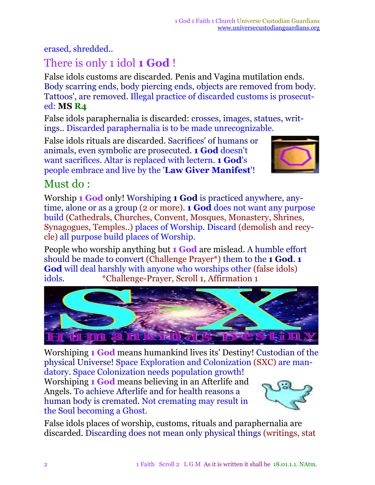erased, shredded..

## There is only 1 idol **1 God** !

False idols customs are discarded. Penis and Vagina mutilation ends. Body scarring ends, body piercing ends, objects are removed from body. Tattoos', are removed. Illegal practice of discarded customs is prosecuted: **MS R4**

False idols paraphernalia is discarded: crosses, images, statues, writings.. Discarded paraphernalia is to be made unrecognizable.

False idols rituals are discarded. Sacrifices' of humans or animals, even symbolic are prosecuted. **1 God** doesn't want sacrifices. Altar is replaced with lectern. **1 God**'s people embrace and live by the '**Law Giver Manifest**'!



## Must do :

Worship **1 God** only! Worshiping **1 God** is practiced anywhere, anytime, alone or as a group (2 or more). **1 God** does not want any purpose build (Cathedrals, Churches, Convent, Mosques, Monastery, Shrines, Synagogues, Temples..) places of Worship. Discard (demolish and recycle) all purpose build places of Worship.

People who worship anything but **1 God** are mislead. A humble effort should be made to convert (Challenge Prayer\*) them to the **1 God**. **1 God** will deal harshly with anyone who worships other (false idols) idols. \*Challenge-Prayer, Scroll 1, Affirmation 1



Worshiping **1 God** means humankind lives its' Destiny! Custodian of the physical Universe! Space Exploration and Colonization (SXC) are mandatory. Space Colonization needs population growth!

Worshiping **1 God** means believing in an Afterlife and Angels. To achieve Afterlife and for health reasons a human body is cremated. Not cremating may result in the Soul becoming a Ghost.



False idols places of worship, customs, rituals and paraphernalia are discarded. Discarding does not mean only physical things (writings, stat